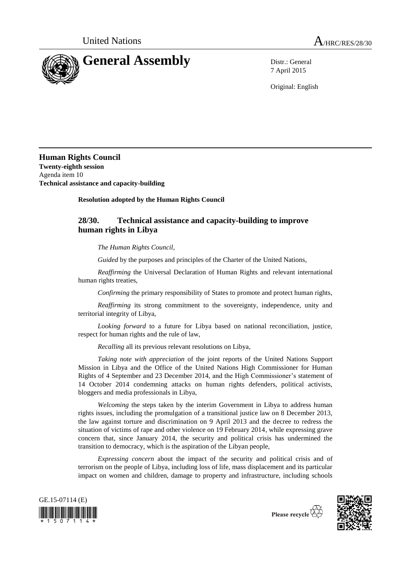

7 April 2015

Original: English

**Human Rights Council Twenty-eighth session** Agenda item 10 **Technical assistance and capacity-building**

**Resolution adopted by the Human Rights Council**

## **28/30. Technical assistance and capacity-building to improve human rights in Libya**

*The Human Rights Council*,

*Guided* by the purposes and principles of the Charter of the United Nations*,*

*Reaffirming* the Universal Declaration of Human Rights and relevant international human rights treaties,

*Confirming* the primary responsibility of States to promote and protect human rights,

*Reaffirming* its strong commitment to the sovereignty, independence, unity and territorial integrity of Libya,

*Looking forward* to a future for Libya based on national reconciliation, justice, respect for human rights and the rule of law,

*Recalling* all its previous relevant resolutions on Libya,

*Taking note with appreciation* of the joint reports of the United Nations Support Mission in Libya and the Office of the United Nations High Commissioner for Human Rights of 4 September and 23 December 2014, and the High Commissioner's statement of 14 October 2014 condemning attacks on human rights defenders, political activists, bloggers and media professionals in Libya,

*Welcoming* the steps taken by the interim Government in Libya to address human rights issues, including the promulgation of a transitional justice law on 8 December 2013, the law against torture and discrimination on 9 April 2013 and the decree to redress the situation of victims of rape and other violence on 19 February 2014, while expressing grave concern that, since January 2014, the security and political crisis has undermined the transition to democracy, which is the aspiration of the Libyan people,

*Expressing concern* about the impact of the security and political crisis and of terrorism on the people of Libya, including loss of life, mass displacement and its particular impact on women and children, damage to property and infrastructure, including schools





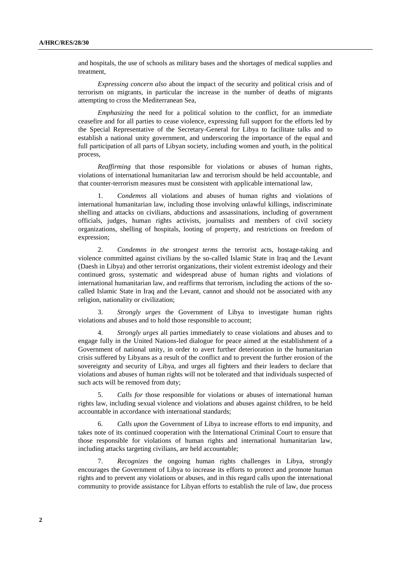and hospitals, the use of schools as military bases and the shortages of medical supplies and treatment,

*Expressing concern also* about the impact of the security and political crisis and of terrorism on migrants, in particular the increase in the number of deaths of migrants attempting to cross the Mediterranean Sea,

*Emphasizing* the need for a political solution to the conflict, for an immediate ceasefire and for all parties to cease violence, expressing full support for the efforts led by the Special Representative of the Secretary-General for Libya to facilitate talks and to establish a national unity government, and underscoring the importance of the equal and full participation of all parts of Libyan society, including women and youth, in the political process,

*Reaffirming* that those responsible for violations or abuses of human rights, violations of international humanitarian law and terrorism should be held accountable, and that counter-terrorism measures must be consistent with applicable international law,

1. *Condemns* all violations and abuses of human rights and violations of international humanitarian law, including those involving unlawful killings, indiscriminate shelling and attacks on civilians, abductions and assassinations, including of government officials, judges, human rights activists, journalists and members of civil society organizations, shelling of hospitals, looting of property, and restrictions on freedom of expression;

2. *Condemns in the strongest terms* the terrorist acts, hostage-taking and violence committed against civilians by the so-called Islamic State in Iraq and the Levant (Daesh in Libya) and other terrorist organizations, their violent extremist ideology and their continued gross, systematic and widespread abuse of human rights and violations of international humanitarian law, and reaffirms that terrorism, including the actions of the socalled Islamic State in Iraq and the Levant, cannot and should not be associated with any religion, nationality or civilization;

3. *Strongly urges* the Government of Libya to investigate human rights violations and abuses and to hold those responsible to account;

4. *Strongly urges* all parties immediately to cease violations and abuses and to engage fully in the United Nations-led dialogue for peace aimed at the establishment of a Government of national unity, in order to avert further deterioration in the humanitarian crisis suffered by Libyans as a result of the conflict and to prevent the further erosion of the sovereignty and security of Libya, and urges all fighters and their leaders to declare that violations and abuses of human rights will not be tolerated and that individuals suspected of such acts will be removed from duty;

5. *Calls for* those responsible for violations or abuses of international human rights law, including sexual violence and violations and abuses against children, to be held accountable in accordance with international standards;

6. *Calls upon* the Government of Libya to increase efforts to end impunity, and takes note of its continued cooperation with the International Criminal Court to ensure that those responsible for violations of human rights and international humanitarian law, including attacks targeting civilians, are held accountable;

7. *Recognizes* the ongoing human rights challenges in Libya, strongly encourages the Government of Libya to increase its efforts to protect and promote human rights and to prevent any violations or abuses, and in this regard calls upon the international community to provide assistance for Libyan efforts to establish the rule of law, due process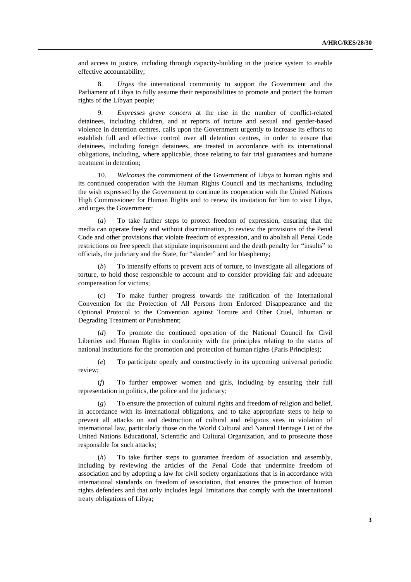and access to justice, including through capacity-building in the justice system to enable effective accountability;

8. *Urges* the international community to support the Government and the Parliament of Libya to fully assume their responsibilities to promote and protect the human rights of the Libyan people;

9. *Expresses grave concern* at the rise in the number of conflict-related detainees, including children, and at reports of torture and sexual and gender-based violence in detention centres, calls upon the Government urgently to increase its efforts to establish full and effective control over all detention centres, in order to ensure that detainees, including foreign detainees, are treated in accordance with its international obligations, including, where applicable, those relating to fair trial guarantees and humane treatment in detention;

10. *Welcomes* the commitment of the Government of Libya to human rights and its continued cooperation with the Human Rights Council and its mechanisms, including the wish expressed by the Government to continue its cooperation with the United Nations High Commissioner for Human Rights and to renew its invitation for him to visit Libya, and urges the Government:

(*a*) To take further steps to protect freedom of expression, ensuring that the media can operate freely and without discrimination, to review the provisions of the Penal Code and other provisions that violate freedom of expression, and to abolish all Penal Code restrictions on free speech that stipulate imprisonment and the death penalty for "insults" to officials, the judiciary and the State, for "slander" and for blasphemy;

(*b*) To intensify efforts to prevent acts of torture, to investigate all allegations of torture, to hold those responsible to account and to consider providing fair and adequate compensation for victims;

(*c*) To make further progress towards the ratification of the International Convention for the Protection of All Persons from Enforced Disappearance and the Optional Protocol to the Convention against Torture and Other Cruel, Inhuman or Degrading Treatment or Punishment;

(*d*) To promote the continued operation of the National Council for Civil Liberties and Human Rights in conformity with the principles relating to the status of national institutions for the promotion and protection of human rights (Paris Principles);

(*e*) To participate openly and constructively in its upcoming universal periodic review;

(*f*) To further empower women and girls, including by ensuring their full representation in politics, the police and the judiciary;

(*g*) To ensure the protection of cultural rights and freedom of religion and belief, in accordance with its international obligations, and to take appropriate steps to help to prevent all attacks on and destruction of cultural and religious sites in violation of international law, particularly those on the World Cultural and Natural Heritage List of the United Nations Educational, Scientific and Cultural Organization, and to prosecute those responsible for such attacks;

(*h*) To take further steps to guarantee freedom of association and assembly, including by reviewing the articles of the Penal Code that undermine freedom of association and by adopting a law for civil society organizations that is in accordance with international standards on freedom of association, that ensures the protection of human rights defenders and that only includes legal limitations that comply with the international treaty obligations of Libya;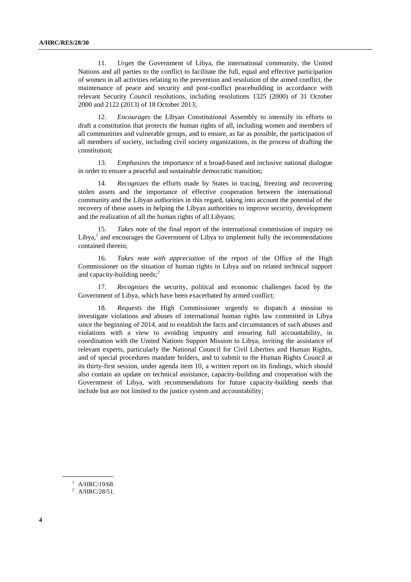11. *Urges* the Government of Libya, the international community, the United Nations and all parties to the conflict to facilitate the full, equal and effective participation of women in all activities relating to the prevention and resolution of the armed conflict, the maintenance of peace and security and post-conflict peacebuilding in accordance with relevant Security Council resolutions, including resolutions 1325 (2000) of 31 October 2000 and 2122 (2013) of 18 October 2013;

12. *Encourages* the Libyan Constitutional Assembly to intensify its efforts to draft a constitution that protects the human rights of all, including women and members of all communities and vulnerable groups, and to ensure, as far as possible, the participation of all members of society, including civil society organizations, in the process of drafting the constitution;

13. *Emphasizes* the importance of a broad-based and inclusive national dialogue in order to ensure a peaceful and sustainable democratic transition;

14. *Recognizes* the efforts made by States in tracing, freezing and recovering stolen assets and the importance of effective cooperation between the international community and the Libyan authorities in this regard, taking into account the potential of the recovery of these assets in helping the Libyan authorities to improve security, development and the realization of all the human rights of all Libyans;

15. *Takes note* of the final report of the international commission of inquiry on Libya, $<sup>1</sup>$  and encourages the Government of Libya to implement fully the recommendations</sup> contained therein;

16. *Takes note with appreciation* of the report of the Office of the High Commissioner on the situation of human rights in Libya and on related technical support and capacity-building needs; $<sup>2</sup>$ </sup>

17. *Recognizes* the security, political and economic challenges faced by the Government of Libya, which have been exacerbated by armed conflict;

18. *Requests* the High Commissioner urgently to dispatch a mission to investigate violations and abuses of international human rights law committed in Libya since the beginning of 2014, and to establish the facts and circumstances of such abuses and violations with a view to avoiding impunity and ensuring full accountability, in coordination with the United Nations Support Mission in Libya, inviting the assistance of relevant experts, particularly the National Council for Civil Liberties and Human Rights, and of special procedures mandate holders, and to submit to the Human Rights Council at its thirty-first session, under agenda item 10, a written report on its findings, which should also contain an update on technical assistance, capacity-building and cooperation with the Government of Libya, with recommendations for future capacity-building needs that include but are not limited to the justice system and accountability;

 $1$  A/HRC/19/68.

 $^2$  A/HRC/28/51.